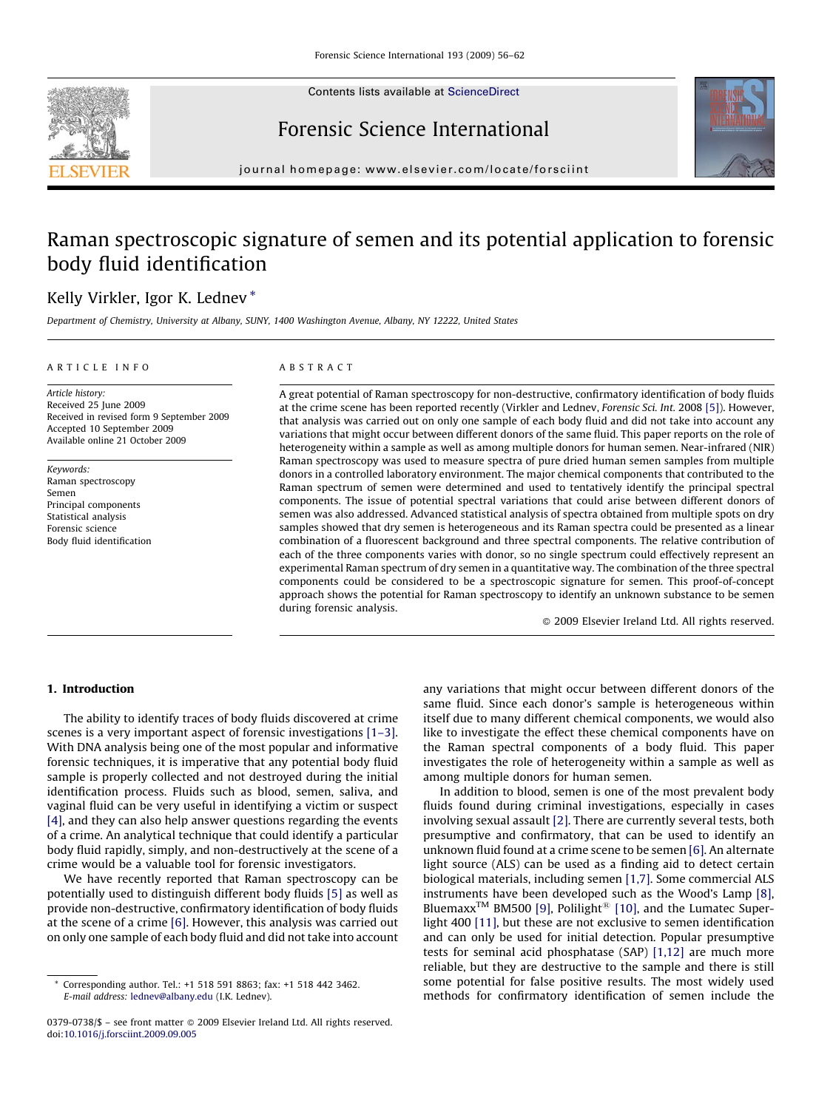

Contents lists available at [ScienceDirect](http://www.sciencedirect.com/science/journal/03790738)

Forensic Science International



journal homepage: www.elsevier.com/locate/forsciint

# Raman spectroscopic signature of semen and its potential application to forensic body fluid identification

# Kelly Virkler, Igor K. Lednev \*

Department of Chemistry, University at Albany, SUNY, 1400 Washington Avenue, Albany, NY 12222, United States

### ARTICLE INFO

# ABSTRACT

Article history: Received 25 June 2009 Received in revised form 9 September 2009 Accepted 10 September 2009 Available online 21 October 2009

Keywords: Raman spectroscopy Semen Principal components Statistical analysis Forensic science Body fluid identification A great potential of Raman spectroscopy for non-destructive, confirmatory identification of body fluids at the crime scene has been reported recently (Virkler and Lednev, Forensic Sci. Int. 2008 [\[5\]](#page-5-0)). However, that analysis was carried out on only one sample of each body fluid and did not take into account any variations that might occur between different donors of the same fluid. This paper reports on the role of heterogeneity within a sample as well as among multiple donors for human semen. Near-infrared (NIR) Raman spectroscopy was used to measure spectra of pure dried human semen samples from multiple donors in a controlled laboratory environment. The major chemical components that contributed to the Raman spectrum of semen were determined and used to tentatively identify the principal spectral components. The issue of potential spectral variations that could arise between different donors of semen was also addressed. Advanced statistical analysis of spectra obtained from multiple spots on dry samples showed that dry semen is heterogeneous and its Raman spectra could be presented as a linear combination of a fluorescent background and three spectral components. The relative contribution of each of the three components varies with donor, so no single spectrum could effectively represent an experimental Raman spectrum of dry semen in a quantitative way. The combination of the three spectral components could be considered to be a spectroscopic signature for semen. This proof-of-concept approach shows the potential for Raman spectroscopy to identify an unknown substance to be semen during forensic analysis.

- 2009 Elsevier Ireland Ltd. All rights reserved.

### 1. Introduction

The ability to identify traces of body fluids discovered at crime scenes is a very important aspect of forensic investigations [\[1–3\].](#page-5-0) With DNA analysis being one of the most popular and informative forensic techniques, it is imperative that any potential body fluid sample is properly collected and not destroyed during the initial identification process. Fluids such as blood, semen, saliva, and vaginal fluid can be very useful in identifying a victim or suspect [\[4\],](#page-5-0) and they can also help answer questions regarding the events of a crime. An analytical technique that could identify a particular body fluid rapidly, simply, and non-destructively at the scene of a crime would be a valuable tool for forensic investigators.

We have recently reported that Raman spectroscopy can be potentially used to distinguish different body fluids [\[5\]](#page-5-0) as well as provide non-destructive, confirmatory identification of body fluids at the scene of a crime [\[6\]](#page-5-0). However, this analysis was carried out on only one sample of each body fluid and did not take into account

any variations that might occur between different donors of the same fluid. Since each donor's sample is heterogeneous within itself due to many different chemical components, we would also like to investigate the effect these chemical components have on the Raman spectral components of a body fluid. This paper investigates the role of heterogeneity within a sample as well as among multiple donors for human semen.

In addition to blood, semen is one of the most prevalent body fluids found during criminal investigations, especially in cases involving sexual assault [\[2\]](#page-5-0). There are currently several tests, both presumptive and confirmatory, that can be used to identify an unknown fluid found at a crime scene to be semen [\[6\].](#page-5-0) An alternate light source (ALS) can be used as a finding aid to detect certain biological materials, including semen [\[1,7\]](#page-5-0). Some commercial ALS instruments have been developed such as the Wood's Lamp [\[8\],](#page-5-0) Bluemaxx<sup>TM</sup> BM500 [\[9\],](#page-5-0) Polilight<sup>®</sup> [\[10\]](#page-5-0), and the Lumatec Superlight 400 [\[11\]](#page-5-0), but these are not exclusive to semen identification and can only be used for initial detection. Popular presumptive tests for seminal acid phosphatase (SAP) [\[1,12\]](#page-5-0) are much more reliable, but they are destructive to the sample and there is still some potential for false positive results. The most widely used methods for confirmatory identification of semen include the

Corresponding author. Tel.: +1 518 591 8863; fax: +1 518 442 3462. E-mail address: [lednev@albany.edu](mailto:lednev@albany.edu) (I.K. Lednev).

 $0379-0738/\$  – see front matter  $\odot$  2009 Elsevier Ireland Ltd. All rights reserved. doi:[10.1016/j.forsciint.2009.09.005](http://dx.doi.org/10.1016/j.forsciint.2009.09.005)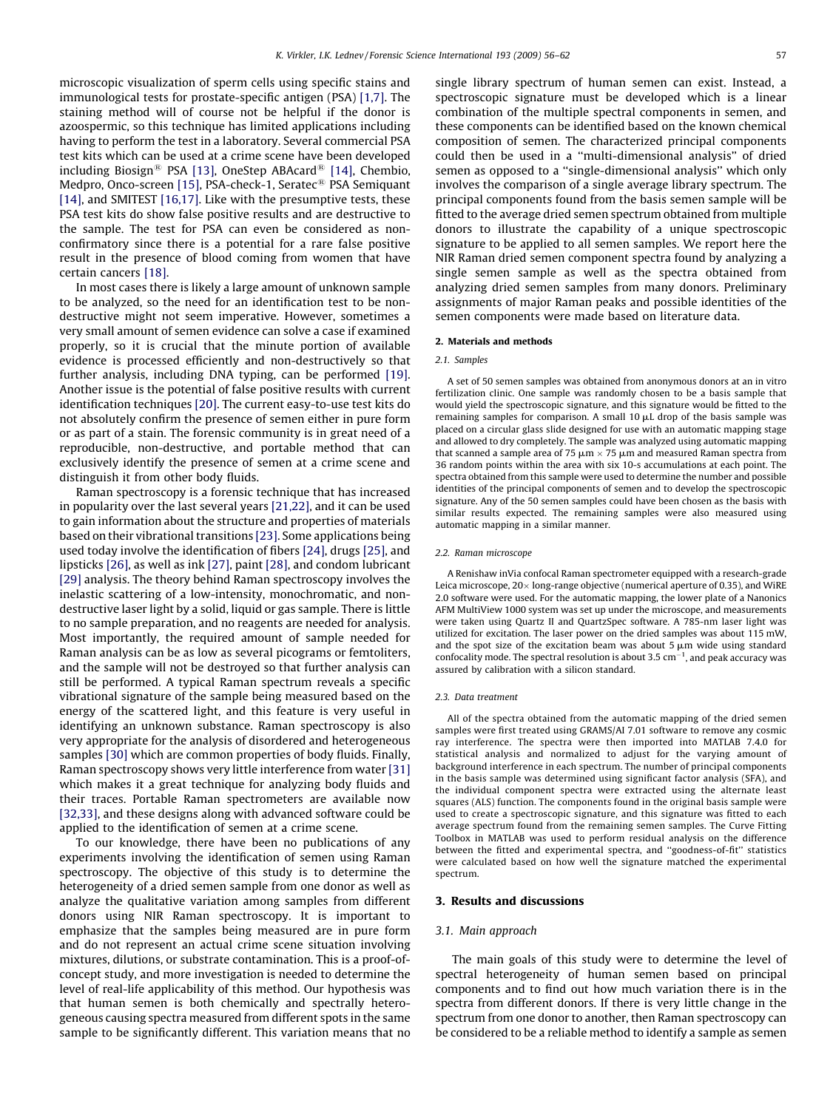microscopic visualization of sperm cells using specific stains and immunological tests for prostate-specific antigen (PSA) [\[1,7\].](#page-5-0) The staining method will of course not be helpful if the donor is azoospermic, so this technique has limited applications including having to perform the test in a laboratory. Several commercial PSA test kits which can be used at a crime scene have been developed including Biosign<sup>®</sup> PSA [\[13\]](#page-5-0), OneStep ABAcard<sup>®</sup> [\[14\]](#page-5-0), Chembio, Medpro, Onco-screen [\[15\],](#page-5-0) PSA-check-1, Seratec<sup>®</sup> PSA Semiquant [\[14\]](#page-5-0), and SMITEST [\[16,17\]](#page-5-0). Like with the presumptive tests, these PSA test kits do show false positive results and are destructive to the sample. The test for PSA can even be considered as nonconfirmatory since there is a potential for a rare false positive result in the presence of blood coming from women that have certain cancers [\[18\].](#page-5-0)

In most cases there is likely a large amount of unknown sample to be analyzed, so the need for an identification test to be nondestructive might not seem imperative. However, sometimes a very small amount of semen evidence can solve a case if examined properly, so it is crucial that the minute portion of available evidence is processed efficiently and non-destructively so that further analysis, including DNA typing, can be performed [\[19\].](#page-5-0) Another issue is the potential of false positive results with current identification techniques [\[20\]](#page-5-0). The current easy-to-use test kits do not absolutely confirm the presence of semen either in pure form or as part of a stain. The forensic community is in great need of a reproducible, non-destructive, and portable method that can exclusively identify the presence of semen at a crime scene and distinguish it from other body fluids.

Raman spectroscopy is a forensic technique that has increased in popularity over the last several years [\[21,22\]](#page-5-0), and it can be used to gain information about the structure and properties of materials based on their vibrational transitions [\[23\]](#page-5-0). Some applications being used today involve the identification of fibers [\[24\]](#page-5-0), drugs [\[25\]](#page-5-0), and lipsticks [\[26\],](#page-5-0) as well as ink [\[27\]](#page-5-0), paint [\[28\],](#page-5-0) and condom lubricant [\[29\]](#page-5-0) analysis. The theory behind Raman spectroscopy involves the inelastic scattering of a low-intensity, monochromatic, and nondestructive laser light by a solid, liquid or gas sample. There is little to no sample preparation, and no reagents are needed for analysis. Most importantly, the required amount of sample needed for Raman analysis can be as low as several picograms or femtoliters, and the sample will not be destroyed so that further analysis can still be performed. A typical Raman spectrum reveals a specific vibrational signature of the sample being measured based on the energy of the scattered light, and this feature is very useful in identifying an unknown substance. Raman spectroscopy is also very appropriate for the analysis of disordered and heterogeneous samples [\[30\]](#page-5-0) which are common properties of body fluids. Finally, Raman spectroscopy shows very little interference from water [\[31\]](#page-5-0) which makes it a great technique for analyzing body fluids and their traces. Portable Raman spectrometers are available now [\[32,33\],](#page-5-0) and these designs along with advanced software could be applied to the identification of semen at a crime scene.

To our knowledge, there have been no publications of any experiments involving the identification of semen using Raman spectroscopy. The objective of this study is to determine the heterogeneity of a dried semen sample from one donor as well as analyze the qualitative variation among samples from different donors using NIR Raman spectroscopy. It is important to emphasize that the samples being measured are in pure form and do not represent an actual crime scene situation involving mixtures, dilutions, or substrate contamination. This is a proof-ofconcept study, and more investigation is needed to determine the level of real-life applicability of this method. Our hypothesis was that human semen is both chemically and spectrally heterogeneous causing spectra measured from different spots in the same sample to be significantly different. This variation means that no single library spectrum of human semen can exist. Instead, a spectroscopic signature must be developed which is a linear combination of the multiple spectral components in semen, and these components can be identified based on the known chemical composition of semen. The characterized principal components could then be used in a ''multi-dimensional analysis'' of dried semen as opposed to a ''single-dimensional analysis'' which only involves the comparison of a single average library spectrum. The principal components found from the basis semen sample will be fitted to the average dried semen spectrum obtained from multiple donors to illustrate the capability of a unique spectroscopic signature to be applied to all semen samples. We report here the NIR Raman dried semen component spectra found by analyzing a single semen sample as well as the spectra obtained from analyzing dried semen samples from many donors. Preliminary assignments of major Raman peaks and possible identities of the semen components were made based on literature data.

#### 2. Materials and methods

#### 2.1. Samples

A set of 50 semen samples was obtained from anonymous donors at an in vitro fertilization clinic. One sample was randomly chosen to be a basis sample that would yield the spectroscopic signature, and this signature would be fitted to the remaining samples for comparison. A small 10  $\mu$ L drop of the basis sample was placed on a circular glass slide designed for use with an automatic mapping stage and allowed to dry completely. The sample was analyzed using automatic mapping that scanned a sample area of 75  $\mu$ m  $\times$  75  $\mu$ m and measured Raman spectra from 36 random points within the area with six 10-s accumulations at each point. The spectra obtained from this sample were used to determine the number and possible identities of the principal components of semen and to develop the spectroscopic signature. Any of the 50 semen samples could have been chosen as the basis with similar results expected. The remaining samples were also measured using automatic mapping in a similar manner.

#### 2.2. Raman microscope

A Renishaw inVia confocal Raman spectrometer equipped with a research-grade Leica microscope,  $20\times$  long-range objective (numerical aperture of 0.35), and WiRE 2.0 software were used. For the automatic mapping, the lower plate of a Nanonics AFM MultiView 1000 system was set up under the microscope, and measurements were taken using Quartz II and QuartzSpec software. A 785-nm laser light was utilized for excitation. The laser power on the dried samples was about 115 mW, and the spot size of the excitation beam was about 5  $\mu$ m wide using standard confocality mode. The spectral resolution is about 3.5  $cm^{-1}$ , and peak accuracy was assured by calibration with a silicon standard.

#### 2.3. Data treatment

All of the spectra obtained from the automatic mapping of the dried semen samples were first treated using GRAMS/AI 7.01 software to remove any cosmic ray interference. The spectra were then imported into MATLAB 7.4.0 for statistical analysis and normalized to adjust for the varying amount of background interference in each spectrum. The number of principal components in the basis sample was determined using significant factor analysis (SFA), and the individual component spectra were extracted using the alternate least squares (ALS) function. The components found in the original basis sample were used to create a spectroscopic signature, and this signature was fitted to each average spectrum found from the remaining semen samples. The Curve Fitting Toolbox in MATLAB was used to perform residual analysis on the difference between the fitted and experimental spectra, and ''goodness-of-fit'' statistics were calculated based on how well the signature matched the experimental spectrum.

#### 3. Results and discussions

#### 3.1. Main approach

The main goals of this study were to determine the level of spectral heterogeneity of human semen based on principal components and to find out how much variation there is in the spectra from different donors. If there is very little change in the spectrum from one donor to another, then Raman spectroscopy can be considered to be a reliable method to identify a sample as semen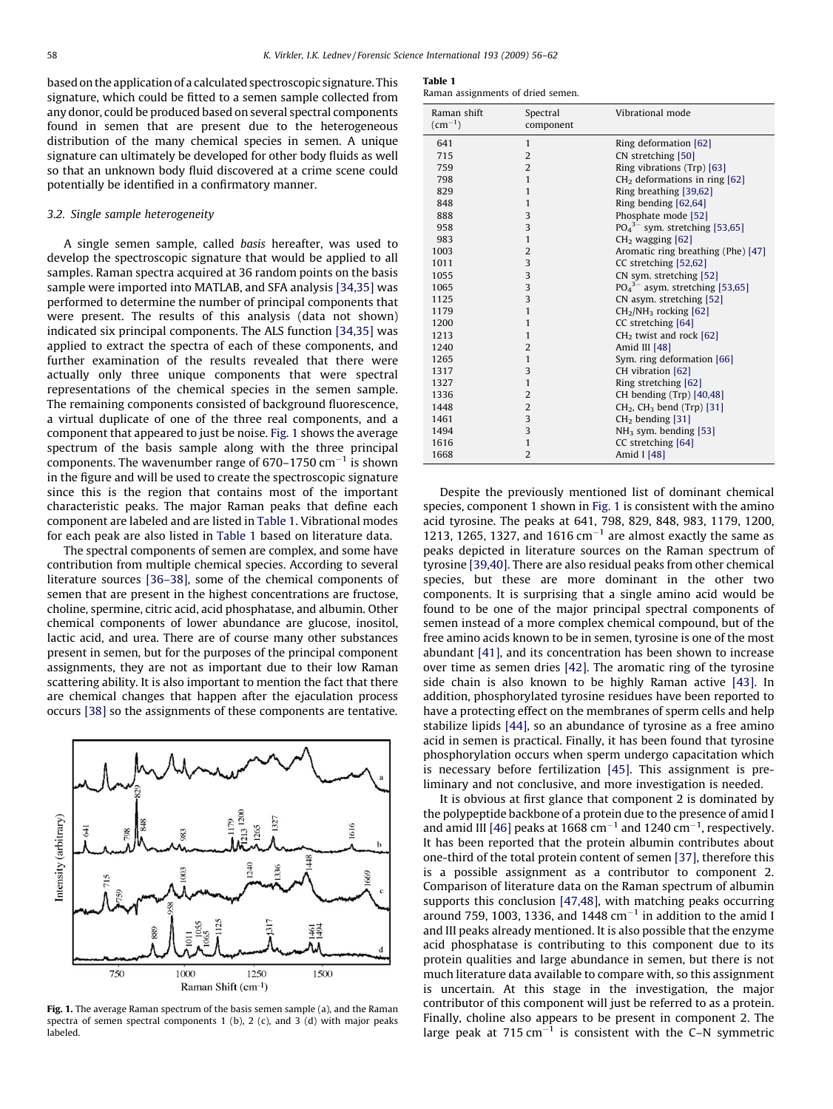<span id="page-2-0"></span>based on the application of a calculated spectroscopic signature. This signature, which could be fitted to a semen sample collected from any donor, could be produced based on several spectral components found in semen that are present due to the heterogeneous distribution of the many chemical species in semen. A unique signature can ultimately be developed for other body fluids as well so that an unknown body fluid discovered at a crime scene could potentially be identified in a confirmatory manner.

# 3.2. Single sample heterogeneity

A single semen sample, called basis hereafter, was used to develop the spectroscopic signature that would be applied to all samples. Raman spectra acquired at 36 random points on the basis sample were imported into MATLAB, and SFA analysis [\[34,35\]](#page-5-0) was performed to determine the number of principal components that were present. The results of this analysis (data not shown) indicated six principal components. The ALS function [\[34,35\]](#page-5-0) was applied to extract the spectra of each of these components, and further examination of the results revealed that there were actually only three unique components that were spectral representations of the chemical species in the semen sample. The remaining components consisted of background fluorescence, a virtual duplicate of one of the three real components, and a component that appeared to just be noise. Fig. 1 shows the average spectrum of the basis sample along with the three principal components. The wavenumber range of  $670-1750$  cm<sup>-1</sup> is shown in the figure and will be used to create the spectroscopic signature since this is the region that contains most of the important characteristic peaks. The major Raman peaks that define each component are labeled and are listed in Table 1. Vibrational modes for each peak are also listed in Table 1 based on literature data.

The spectral components of semen are complex, and some have contribution from multiple chemical species. According to several literature sources [\[36–38\]](#page-5-0), some of the chemical components of semen that are present in the highest concentrations are fructose, choline, spermine, citric acid, acid phosphatase, and albumin. Other chemical components of lower abundance are glucose, inositol, lactic acid, and urea. There are of course many other substances present in semen, but for the purposes of the principal component assignments, they are not as important due to their low Raman scattering ability. It is also important to mention the fact that there are chemical changes that happen after the ejaculation process occurs [\[38\]](#page-5-0) so the assignments of these components are tentative.



Fig. 1. The average Raman spectrum of the basis semen sample (a), and the Raman spectra of semen spectral components 1 (b), 2 (c), and 3 (d) with major peaks labeled.

|--|

Raman assignments of dried semen.

| Raman shift<br>$\rm (cm^{-1})$ | Spectral<br>component | Vibrational mode                               |
|--------------------------------|-----------------------|------------------------------------------------|
| 641                            | $\mathbf{1}$          | Ring deformation [62]                          |
| 715                            | $\overline{2}$        | CN stretching [50]                             |
| 759                            | $\overline{2}$        | Ring vibrations (Trp) [63]                     |
| 798                            | 1                     | $CH2$ deformations in ring [62]                |
| 829                            | 1                     | Ring breathing [39,62]                         |
| 848                            | 1                     | Ring bending $[62,64]$                         |
| 888                            | 3                     | Phosphate mode [52]                            |
| 958                            | 3                     | $PO43-$ sym. stretching [53,65]                |
| 983                            | 1                     | $CH2$ wagging [62]                             |
| 1003                           | $\overline{2}$        | Aromatic ring breathing (Phe) [47]             |
| 1011                           | 3                     | CC stretching [52,62]                          |
| 1055                           | 3                     | CN sym. stretching [52]                        |
| 1065                           | 3                     | $PO_4^3$ <sup>-</sup> asym. stretching [53,65] |
| 1125                           | 3                     | CN asym. stretching [52]                       |
| 1179                           | 1                     | $CH2/NH3$ rocking [62]                         |
| 1200                           | 1                     | CC stretching [64]                             |
| 1213                           | 1                     | $CH2$ twist and rock [62]                      |
| 1240                           | $\overline{2}$        | Amid III [48]                                  |
| 1265                           | 1                     | Sym. ring deformation [66]                     |
| 1317                           | 3                     | CH vibration [62]                              |
| 1327                           | 1                     | Ring stretching [62]                           |
| 1336                           | $\overline{2}$        | CH bending (Trp) [40,48]                       |
| 1448                           | $\overline{2}$        | $CH2$ , CH <sub>3</sub> bend (Trp) [31]        |
| 1461                           | 3                     | $CH2$ bending [31]                             |
| 1494                           | 3                     | $NH3$ sym. bending [53]                        |
| 1616                           | 1                     | CC stretching [64]                             |
| 1668                           | $\overline{2}$        | Amid I [48]                                    |

Despite the previously mentioned list of dominant chemical species, component 1 shown in Fig. 1 is consistent with the amino acid tyrosine. The peaks at 641, 798, 829, 848, 983, 1179, 1200, 1213, 1265, 1327, and 1616  $cm^{-1}$  are almost exactly the same as peaks depicted in literature sources on the Raman spectrum of tyrosine [\[39,40\].](#page-5-0) There are also residual peaks from other chemical species, but these are more dominant in the other two components. It is surprising that a single amino acid would be found to be one of the major principal spectral components of semen instead of a more complex chemical compound, but of the free amino acids known to be in semen, tyrosine is one of the most abundant [\[41\],](#page-6-0) and its concentration has been shown to increase over time as semen dries [\[42\].](#page-6-0) The aromatic ring of the tyrosine side chain is also known to be highly Raman active [\[43\]](#page-6-0). In addition, phosphorylated tyrosine residues have been reported to have a protecting effect on the membranes of sperm cells and help stabilize lipids [\[44\]](#page-6-0), so an abundance of tyrosine as a free amino acid in semen is practical. Finally, it has been found that tyrosine phosphorylation occurs when sperm undergo capacitation which is necessary before fertilization [\[45\]](#page-6-0). This assignment is preliminary and not conclusive, and more investigation is needed.

It is obvious at first glance that component 2 is dominated by the polypeptide backbone of a protein due to the presence of amid I and amid III [\[46\]](#page-6-0) peaks at 1668 cm<sup>-1</sup> and 1240 cm<sup>-1</sup>, respectively. It has been reported that the protein albumin contributes about one-third of the total protein content of semen [\[37\]](#page-5-0), therefore this is a possible assignment as a contributor to component 2. Comparison of literature data on the Raman spectrum of albumin supports this conclusion [\[47,48\],](#page-6-0) with matching peaks occurring around 759, 1003, 1336, and 1448  $cm^{-1}$  in addition to the amid I and III peaks already mentioned. It is also possible that the enzyme acid phosphatase is contributing to this component due to its protein qualities and large abundance in semen, but there is not much literature data available to compare with, so this assignment is uncertain. At this stage in the investigation, the major contributor of this component will just be referred to as a protein. Finally, choline also appears to be present in component 2. The large peak at  $715 \text{ cm}^{-1}$  is consistent with the C-N symmetric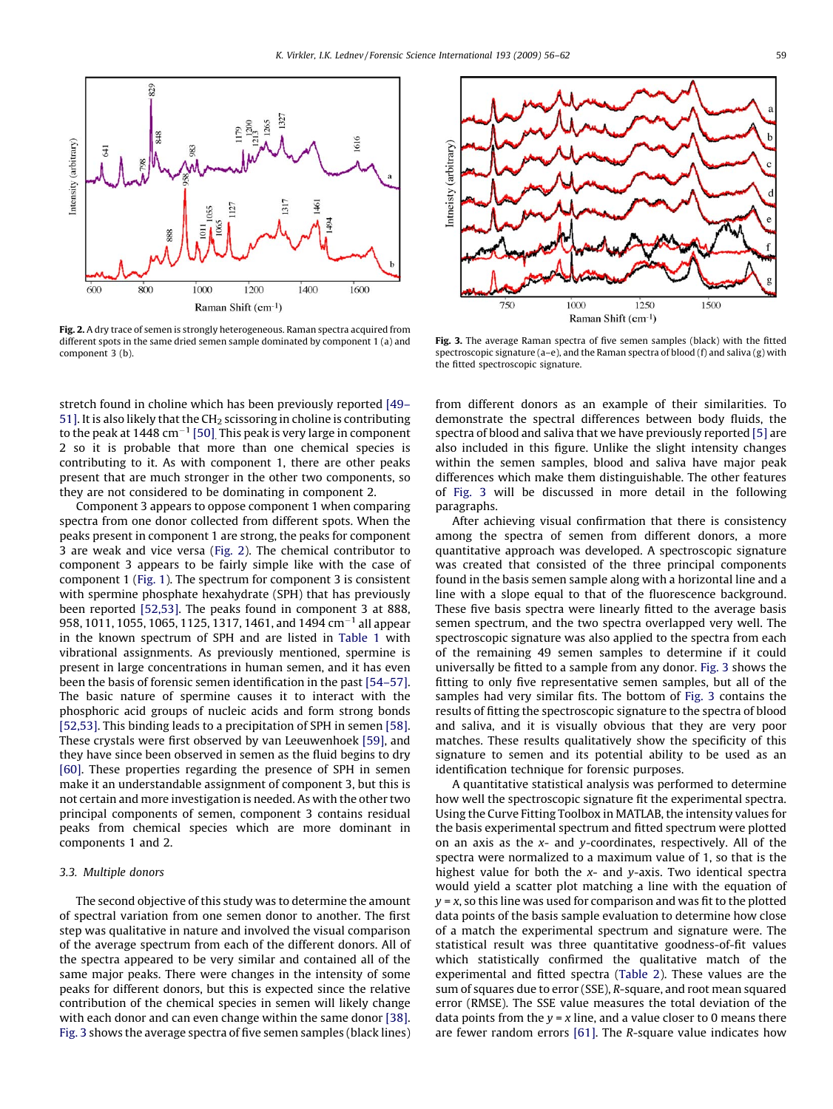<span id="page-3-0"></span>

Fig. 2. A dry trace of semen is strongly heterogeneous. Raman spectra acquired from different spots in the same dried semen sample dominated by component 1 (a) and component 3 (b).

stretch found in choline which has been previously reported [\[49–](#page-6-0) [51\]](#page-6-0). It is also likely that the  $CH<sub>2</sub>$  scissoring in choline is contributing to the peak at 1448  $cm^{-1}$  [\[50\].](#page-6-0) This peak is very large in component 2 so it is probable that more than one chemical species is contributing to it. As with component 1, there are other peaks present that are much stronger in the other two components, so they are not considered to be dominating in component 2.

Component 3 appears to oppose component 1 when comparing spectra from one donor collected from different spots. When the peaks present in component 1 are strong, the peaks for component 3 are weak and vice versa (Fig. 2). The chemical contributor to component 3 appears to be fairly simple like with the case of component 1 [\(Fig. 1\)](#page-2-0). The spectrum for component 3 is consistent with spermine phosphate hexahydrate (SPH) that has previously been reported [\[52,53\].](#page-6-0) The peaks found in component 3 at 888, 958, 1011, 1055, 1065, 1125, 1317, 1461, and 1494 cm<sup>-1</sup> all appear in the known spectrum of SPH and are listed in [Table 1](#page-2-0) with vibrational assignments. As previously mentioned, spermine is present in large concentrations in human semen, and it has even been the basis of forensic semen identification in the past [\[54–57\].](#page-6-0) The basic nature of spermine causes it to interact with the phosphoric acid groups of nucleic acids and form strong bonds [\[52,53\].](#page-6-0) This binding leads to a precipitation of SPH in semen [\[58\].](#page-6-0) These crystals were first observed by van Leeuwenhoek [\[59\],](#page-6-0) and they have since been observed in semen as the fluid begins to dry [\[60\]](#page-6-0). These properties regarding the presence of SPH in semen make it an understandable assignment of component 3, but this is not certain and more investigation is needed. As with the other two principal components of semen, component 3 contains residual peaks from chemical species which are more dominant in components 1 and 2.

# 3.3. Multiple donors

The second objective of this study was to determine the amount of spectral variation from one semen donor to another. The first step was qualitative in nature and involved the visual comparison of the average spectrum from each of the different donors. All of the spectra appeared to be very similar and contained all of the same major peaks. There were changes in the intensity of some peaks for different donors, but this is expected since the relative contribution of the chemical species in semen will likely change with each donor and can even change within the same donor [\[38\].](#page-5-0) Fig. 3 shows the average spectra of five semen samples (black lines)



Fig. 3. The average Raman spectra of five semen samples (black) with the fitted spectroscopic signature (a–e), and the Raman spectra of blood (f) and saliva (g) with the fitted spectroscopic signature.

from different donors as an example of their similarities. To demonstrate the spectral differences between body fluids, the spectra of blood and saliva that we have previously reported [\[5\]](#page-5-0) are also included in this figure. Unlike the slight intensity changes within the semen samples, blood and saliva have major peak differences which make them distinguishable. The other features of Fig. 3 will be discussed in more detail in the following paragraphs.

After achieving visual confirmation that there is consistency among the spectra of semen from different donors, a more quantitative approach was developed. A spectroscopic signature was created that consisted of the three principal components found in the basis semen sample along with a horizontal line and a line with a slope equal to that of the fluorescence background. These five basis spectra were linearly fitted to the average basis semen spectrum, and the two spectra overlapped very well. The spectroscopic signature was also applied to the spectra from each of the remaining 49 semen samples to determine if it could universally be fitted to a sample from any donor. Fig. 3 shows the fitting to only five representative semen samples, but all of the samples had very similar fits. The bottom of Fig. 3 contains the results of fitting the spectroscopic signature to the spectra of blood and saliva, and it is visually obvious that they are very poor matches. These results qualitatively show the specificity of this signature to semen and its potential ability to be used as an identification technique for forensic purposes.

A quantitative statistical analysis was performed to determine how well the spectroscopic signature fit the experimental spectra. Using the Curve Fitting Toolbox in MATLAB, the intensity values for the basis experimental spectrum and fitted spectrum were plotted on an axis as the  $x$ - and  $y$ -coordinates, respectively. All of the spectra were normalized to a maximum value of 1, so that is the highest value for both the  $x$ - and  $y$ -axis. Two identical spectra would yield a scatter plot matching a line with the equation of  $y = x$ , so this line was used for comparison and was fit to the plotted data points of the basis sample evaluation to determine how close of a match the experimental spectrum and signature were. The statistical result was three quantitative goodness-of-fit values which statistically confirmed the qualitative match of the experimental and fitted spectra ([Table 2](#page-4-0)). These values are the sum of squares due to error (SSE), R-square, and root mean squared error (RMSE). The SSE value measures the total deviation of the data points from the  $y = x$  line, and a value closer to 0 means there are fewer random errors [\[61\].](#page-6-0) The R-square value indicates how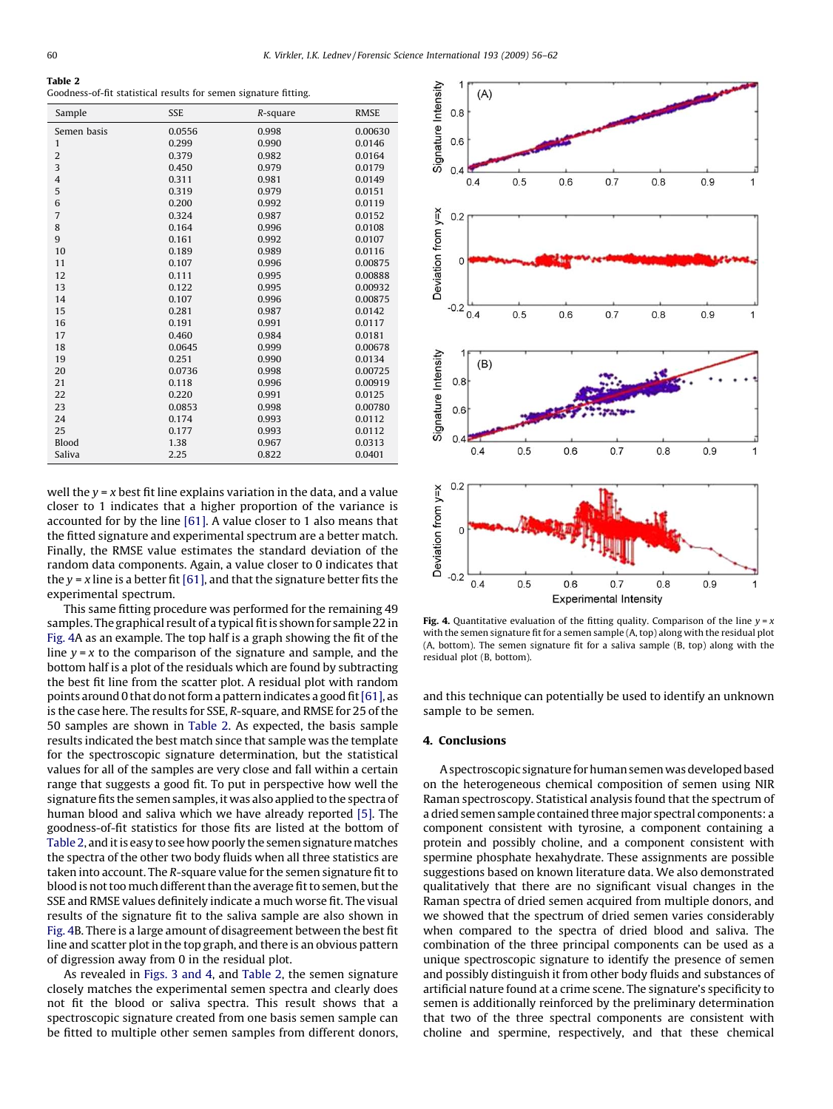# <span id="page-4-0"></span>Table 2

| Goodness-of-fit statistical results for semen signature fitting. |  |  |
|------------------------------------------------------------------|--|--|
|------------------------------------------------------------------|--|--|

| Sample         | <b>SSE</b> | R-square | <b>RMSE</b> |
|----------------|------------|----------|-------------|
| Semen basis    | 0.0556     | 0.998    | 0.00630     |
| $\mathbf{1}$   | 0.299      | 0.990    | 0.0146      |
| $\overline{2}$ | 0.379      | 0.982    | 0.0164      |
| 3              | 0.450      | 0.979    | 0.0179      |
| $\overline{4}$ | 0.311      | 0.981    | 0.0149      |
| 5              | 0.319      | 0.979    | 0.0151      |
| 6              | 0.200      | 0.992    | 0.0119      |
| $\overline{7}$ | 0.324      | 0.987    | 0.0152      |
| 8              | 0.164      | 0.996    | 0.0108      |
| 9              | 0.161      | 0.992    | 0.0107      |
| 10             | 0.189      | 0.989    | 0.0116      |
| 11             | 0.107      | 0.996    | 0.00875     |
| 12             | 0.111      | 0.995    | 0.00888     |
| 13             | 0.122      | 0.995    | 0.00932     |
| 14             | 0.107      | 0.996    | 0.00875     |
| 15             | 0.281      | 0.987    | 0.0142      |
| 16             | 0.191      | 0.991    | 0.0117      |
| 17             | 0.460      | 0.984    | 0.0181      |
| 18             | 0.0645     | 0.999    | 0.00678     |
| 19             | 0.251      | 0.990    | 0.0134      |
| 20             | 0.0736     | 0.998    | 0.00725     |
| 21             | 0.118      | 0.996    | 0.00919     |
| 22             | 0.220      | 0.991    | 0.0125      |
| 23             | 0.0853     | 0.998    | 0.00780     |
| 24             | 0.174      | 0.993    | 0.0112      |
| 25             | 0.177      | 0.993    | 0.0112      |
| Blood          | 1.38       | 0.967    | 0.0313      |
| Saliva         | 2.25       | 0.822    | 0.0401      |

well the  $y = x$  best fit line explains variation in the data, and a value closer to 1 indicates that a higher proportion of the variance is accounted for by the line [\[61\]](#page-6-0). A value closer to 1 also means that the fitted signature and experimental spectrum are a better match. Finally, the RMSE value estimates the standard deviation of the random data components. Again, a value closer to 0 indicates that the  $y = x$  line is a better fit [\[61\]](#page-6-0), and that the signature better fits the experimental spectrum.

This same fitting procedure was performed for the remaining 49 samples. The graphical result of a typical fit is shown for sample 22 in Fig. 4A as an example. The top half is a graph showing the fit of the line  $y = x$  to the comparison of the signature and sample, and the bottom half is a plot of the residuals which are found by subtracting the best fit line from the scatter plot. A residual plot with random points around 0 that do not form a pattern indicates a good fit [\[61\],](#page-6-0) as is the case here. The results for SSE, R-square, and RMSE for 25 of the 50 samples are shown in Table 2. As expected, the basis sample results indicated the best match since that sample was the template for the spectroscopic signature determination, but the statistical values for all of the samples are very close and fall within a certain range that suggests a good fit. To put in perspective how well the signature fits the semen samples, it was also applied to the spectra of human blood and saliva which we have already reported [\[5\]](#page-5-0). The goodness-of-fit statistics for those fits are listed at the bottom of Table 2, and it is easy to see how poorly the semen signaturematches the spectra of the other two body fluids when all three statistics are taken into account. The R-square value for the semen signature fit to blood is not too much different than the average fit to semen, but the SSE and RMSE values definitely indicate a much worse fit. The visual results of the signature fit to the saliva sample are also shown in Fig. 4B. There is a large amount of disagreement between the best fit line and scatter plot in the top graph, and there is an obvious pattern of digression away from 0 in the residual plot.

As revealed in [Figs. 3 and 4,](#page-3-0) and Table 2, the semen signature closely matches the experimental semen spectra and clearly does not fit the blood or saliva spectra. This result shows that a spectroscopic signature created from one basis semen sample can be fitted to multiple other semen samples from different donors,



Fig. 4. Quantitative evaluation of the fitting quality. Comparison of the line  $y = x$ with the semen signature fit for a semen sample (A, top) along with the residual plot (A, bottom). The semen signature fit for a saliva sample (B, top) along with the residual plot (B, bottom).

and this technique can potentially be used to identify an unknown sample to be semen.

# 4. Conclusions

A spectroscopic signature for human semenwas developed based on the heterogeneous chemical composition of semen using NIR Raman spectroscopy. Statistical analysis found that the spectrum of a dried semen sample contained three major spectral components: a component consistent with tyrosine, a component containing a protein and possibly choline, and a component consistent with spermine phosphate hexahydrate. These assignments are possible suggestions based on known literature data. We also demonstrated qualitatively that there are no significant visual changes in the Raman spectra of dried semen acquired from multiple donors, and we showed that the spectrum of dried semen varies considerably when compared to the spectra of dried blood and saliva. The combination of the three principal components can be used as a unique spectroscopic signature to identify the presence of semen and possibly distinguish it from other body fluids and substances of artificial nature found at a crime scene. The signature's specificity to semen is additionally reinforced by the preliminary determination that two of the three spectral components are consistent with choline and spermine, respectively, and that these chemical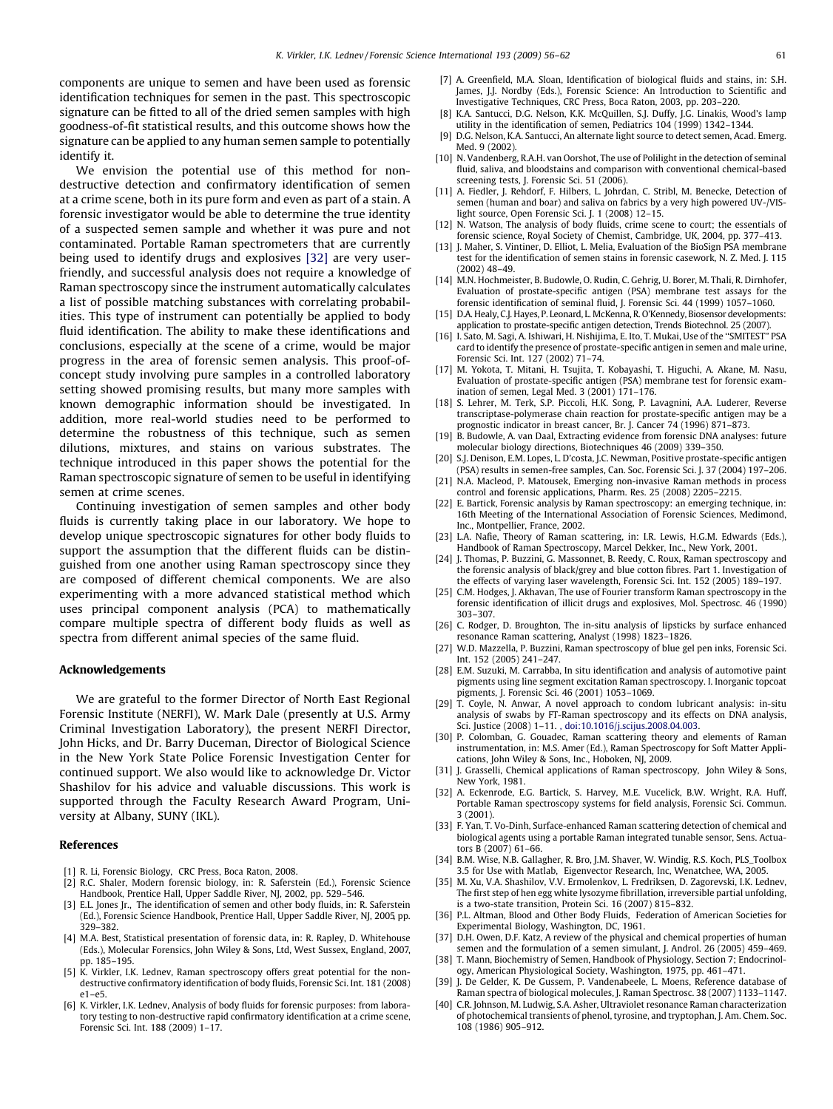<span id="page-5-0"></span>components are unique to semen and have been used as forensic identification techniques for semen in the past. This spectroscopic signature can be fitted to all of the dried semen samples with high goodness-of-fit statistical results, and this outcome shows how the signature can be applied to any human semen sample to potentially identify it.

We envision the potential use of this method for nondestructive detection and confirmatory identification of semen at a crime scene, both in its pure form and even as part of a stain. A forensic investigator would be able to determine the true identity of a suspected semen sample and whether it was pure and not contaminated. Portable Raman spectrometers that are currently being used to identify drugs and explosives [32] are very userfriendly, and successful analysis does not require a knowledge of Raman spectroscopy since the instrument automatically calculates a list of possible matching substances with correlating probabilities. This type of instrument can potentially be applied to body fluid identification. The ability to make these identifications and conclusions, especially at the scene of a crime, would be major progress in the area of forensic semen analysis. This proof-ofconcept study involving pure samples in a controlled laboratory setting showed promising results, but many more samples with known demographic information should be investigated. In addition, more real-world studies need to be performed to determine the robustness of this technique, such as semen dilutions, mixtures, and stains on various substrates. The technique introduced in this paper shows the potential for the Raman spectroscopic signature of semen to be useful in identifying semen at crime scenes.

Continuing investigation of semen samples and other body fluids is currently taking place in our laboratory. We hope to develop unique spectroscopic signatures for other body fluids to support the assumption that the different fluids can be distinguished from one another using Raman spectroscopy since they are composed of different chemical components. We are also experimenting with a more advanced statistical method which uses principal component analysis (PCA) to mathematically compare multiple spectra of different body fluids as well as spectra from different animal species of the same fluid.

#### Acknowledgements

We are grateful to the former Director of North East Regional Forensic Institute (NERFI), W. Mark Dale (presently at U.S. Army Criminal Investigation Laboratory), the present NERFI Director, John Hicks, and Dr. Barry Duceman, Director of Biological Science in the New York State Police Forensic Investigation Center for continued support. We also would like to acknowledge Dr. Victor Shashilov for his advice and valuable discussions. This work is supported through the Faculty Research Award Program, University at Albany, SUNY (IKL).

#### References

- [1] R. Li, Forensic Biology, CRC Press, Boca Raton, 2008.
- [2] R.C. Shaler, Modern forensic biology, in: R. Saferstein (Ed.), Forensic Science Handbook, Prentice Hall, Upper Saddle River, NJ, 2002, pp. 529–546.
- [3] E.L. Jones Jr., The identification of semen and other body fluids, in: R. Saferstein (Ed.), Forensic Science Handbook, Prentice Hall, Upper Saddle River, NJ, 2005, pp. 329–382.
- [4] M.A. Best, Statistical presentation of forensic data, in: R. Rapley, D. Whitehouse (Eds.), Molecular Forensics, John Wiley & Sons, Ltd, West Sussex, England, 2007, pp. 185–195.
- [5] K. Virkler, I.K. Lednev, Raman spectroscopy offers great potential for the nondestructive confirmatory identification of body fluids, Forensic Sci. Int. 181 (2008) e1–e5.
- [6] K. Virkler, I.K. Lednev, Analysis of body fluids for forensic purposes: from laboratory testing to non-destructive rapid confirmatory identification at a crime scene, Forensic Sci. Int. 188 (2009) 1–17.
- [7] A. Greenfield, M.A. Sloan, Identification of biological fluids and stains, in: S.H. James, J.J. Nordby (Eds.), Forensic Science: An Introduction to Scientific and Investigative Techniques, CRC Press, Boca Raton, 2003, pp. 203–220.
- K.A. Santucci, D.G. Nelson, K.K. McQuillen, S.J. Duffy, J.G. Linakis, Wood's lamp utility in the identification of semen, Pediatrics 104 (1999) 1342–1344.
- D.G. Nelson, K.A. Santucci, An alternate light source to detect semen, Acad. Emerg. Med. 9 (2002).
- [10] N. Vandenberg, R.A.H. van Oorshot, The use of Polilight in the detection of seminal fluid, saliva, and bloodstains and comparison with conventional chemical-based screening tests, J. Forensic Sci. 51 (2006).
- A. Fiedler, J. Rehdorf, F. Hilbers, L. Johrdan, C. Stribl, M. Benecke, Detection of semen (human and boar) and saliva on fabrics by a very high powered UV-/VISlight source, Open Forensic Sci. J. 1 (2008) 12–15.
- [12] N. Watson, The analysis of body fluids, crime scene to court; the essentials of forensic science, Royal Society of Chemist, Cambridge, UK, 2004, pp. 377–413.
- [13] J. Maher, S. Vintiner, D. Elliot, L. Melia, Evaluation of the BioSign PSA membrane test for the identification of semen stains in forensic casework, N. Z. Med. J. 115 (2002) 48–49.
- [14] M.N. Hochmeister, B. Budowle, O. Rudin, C. Gehrig, U. Borer, M. Thali, R. Dirnhofer, Evaluation of prostate-specific antigen (PSA) membrane test assays for the forensic identification of seminal fluid, J. Forensic Sci. 44 (1999) 1057–1060.
- [15] D.A. Healy, C.J. Hayes, P. Leonard, L. McKenna, R. O'Kennedy, Biosensor developments: application to prostate-specific antigen detection, Trends Biotechnol. 25 (2007).
- [16] I. Sato, M. Sagi, A. Ishiwari, H. Nishijima, E. Ito, T. Mukai, Use of the ''SMITEST'' PSA card to identify the presence of prostate-specific antigen in semen and male urine, Forensic Sci. Int. 127 (2002) 71–74.
- M. Yokota, T. Mitani, H. Tsujita, T. Kobayashi, T. Higuchi, A. Akane, M. Nasu, Evaluation of prostate-specific antigen (PSA) membrane test for forensic examination of semen, Legal Med. 3 (2001) 171–176.
- [18] S. Lehrer, M. Terk, S.P. Piccoli, H.K. Song, P. Lavagnini, A.A. Luderer, Reverse transcriptase-polymerase chain reaction for prostate-specific antigen may be a prognostic indicator in breast cancer, Br. J. Cancer 74 (1996) 871–873.
- [19] B. Budowle, A. van Daal, Extracting evidence from forensic DNA analyses: future molecular biology directions, Biotechniques 46 (2009) 339–350.
- [20] S.J. Denison, E.M. Lopes, L. D'costa, J.C. Newman, Positive prostate-specific antigen (PSA) results in semen-free samples, Can. Soc. Forensic Sci. J. 37 (2004) 197–206.
- [21] N.A. Macleod, P. Matousek, Emerging non-invasive Raman methods in process control and forensic applications, Pharm. Res. 25 (2008) 2205–2215.
- [22] E. Bartick, Forensic analysis by Raman spectroscopy: an emerging technique, in: 16th Meeting of the International Association of Forensic Sciences, Medimond, Inc., Montpellier, France, 2002.
- [23] L.A. Nafie, Theory of Raman scattering, in: I.R. Lewis, H.G.M. Edwards (Eds.), Handbook of Raman Spectroscopy, Marcel Dekker, Inc., New York, 2001.
- [24] J. Thomas, P. Buzzini, G. Massonnet, B. Reedy, C. Roux, Raman spectroscopy and the forensic analysis of black/grey and blue cotton fibres. Part 1. Investigation of the effects of varying laser wavelength, Forensic Sci. Int. 152 (2005) 189–197.
- [25] C.M. Hodges, J. Akhavan, The use of Fourier transform Raman spectroscopy in the forensic identification of illicit drugs and explosives, Mol. Spectrosc. 46 (1990) 303–307.
- [26] C. Rodger, D. Broughton, The in-situ analysis of lipsticks by surface enhanced resonance Raman scattering, Analyst (1998) 1823–1826.
- [27] W.D. Mazzella, P. Buzzini, Raman spectroscopy of blue gel pen inks, Forensic Sci. Int. 152 (2005) 241–247.
- [28] E.M. Suzuki, M. Carrabba, In situ identification and analysis of automotive paint pigments using line segment excitation Raman spectroscopy. I. Inorganic topcoat pigments, J. Forensic Sci. 46 (2001) 1053–1069.
- [29] T. Coyle, N. Anwar, A novel approach to condom lubricant analysis: in-situ analysis of swabs by FT-Raman spectroscopy and its effects on DNA analysis, Sci. Justice (2008) 1–11. [, doi:10.1016/j.scijus.2008.04.003](http://dx.doi.org/10.1016/j.scijus.2008.04.003).
- [30] P. Colomban, G. Gouadec, Raman scattering theory and elements of Raman instrumentation, in: M.S. Amer (Ed.), Raman Spectroscopy for Soft Matter Applications, John Wiley & Sons, Inc., Hoboken, NJ, 2009.
- [31] J. Grasselli, Chemical applications of Raman spectroscopy, John Wiley & Sons, New York, 1981.
- [32] A. Eckenrode, E.G. Bartick, S. Harvey, M.E. Vucelick, B.W. Wright, R.A. Huff, Portable Raman spectroscopy systems for field analysis, Forensic Sci. Commun. 3 (2001).
- [33] F. Yan, T. Vo-Dinh, Surface-enhanced Raman scattering detection of chemical and biological agents using a portable Raman integrated tunable sensor, Sens. Actuators B (2007) 61–66.
- [34] B.M. Wise, N.B. Gallagher, R. Bro, J.M. Shaver, W. Windig, R.S. Koch, PLS\_Toolbox 3.5 for Use with Matlab, Eigenvector Research, Inc, Wenatchee, WA, 2005.
- [35] M. Xu, V.A. Shashilov, V.V. Ermolenkov, L. Fredriksen, D. Zagorevski, I.K. Lednev, The first step of hen egg white lysozyme fibrillation, irreversible partial unfolding, is a two-state transition, Protein Sci. 16 (2007) 815–832.
- [36] P.L. Altman, Blood and Other Body Fluids, Federation of American Societies for Experimental Biology, Washington, DC, 1961.
- [37] D.H. Owen, D.F. Katz, A review of the physical and chemical properties of human semen and the formulation of a semen simulant, J. Androl. 26 (2005) 459–469.
- [38] T. Mann, Biochemistry of Semen, Handbook of Physiology, Section 7; Endocrinology, American Physiological Society, Washington, 1975, pp. 461–471.
- [39] J. De Gelder, K. De Gussem, P. Vandenabeele, L. Moens, Reference database of Raman spectra of biological molecules, J. Raman Spectrosc. 38 (2007) 1133–1147.
- [40] C.R. Johnson, M. Ludwig, S.A. Asher, Ultraviolet resonance Raman characterization of photochemical transients of phenol, tyrosine, and tryptophan, J. Am. Chem. Soc. 108 (1986) 905–912.